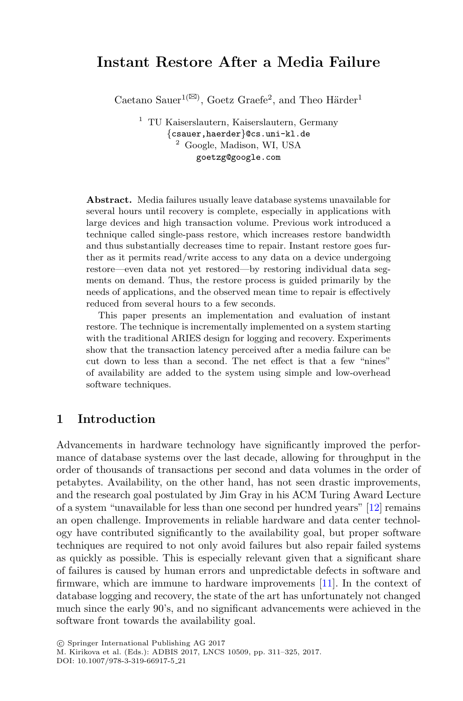# **Instant Restore After a Media Failure**

Caetano Sauer<br/>1 $^{[16]}$  , Goetz Graefe<sup>2</sup>, and Theo Härder<br/> $^{\rm 1}$ 

<sup>1</sup> TU Kaiserslautern, Kaiserslautern, Germany *{*csauer,haerder*}*@cs.uni-kl.de <sup>2</sup> Google, Madison, WI, USA goetzg@google.com

**Abstract.** Media failures usually leave database systems unavailable for several hours until recovery is complete, especially in applications with large devices and high transaction volume. Previous work introduced a technique called single-pass restore, which increases restore bandwidth and thus substantially decreases time to repair. Instant restore goes further as it permits read/write access to any data on a device undergoing restore—even data not yet restored—by restoring individual data segments on demand. Thus, the restore process is guided primarily by the needs of applications, and the observed mean time to repair is effectively reduced from several hours to a few seconds.

This paper presents an implementation and evaluation of instant restore. The technique is incrementally implemented on a system starting with the traditional ARIES design for logging and recovery. Experiments show that the transaction latency perceived after a media failure can be cut down to less than a second. The net effect is that a few "nines" of availability are added to the system using simple and low-overhead software techniques.

# <span id="page-0-0"></span>**1 Introduction**

Advancements in hardware technology have significantly improved the performance of database systems over the last decade, allowing for throughput in the order of thousands of transactions per second and data volumes in the order of petabytes. Availability, on the other hand, has not seen drastic improvements, and the research goal postulated by Jim Gray in his ACM Turing Award Lecture of a system "unavailable for less than one second per hundred years" [\[12](#page-13-0)] remains an open challenge. Improvements in reliable hardware and data center technology have contributed significantly to the availability goal, but proper software techniques are required to not only avoid failures but also repair failed systems as quickly as possible. This is especially relevant given that a significant share of failures is caused by human errors and unpredictable defects in software and firmware, which are immune to hardware improvements [\[11\]](#page-13-1). In the context of database logging and recovery, the state of the art has unfortunately not changed much since the early 90's, and no significant advancements were achieved in the software front towards the availability goal.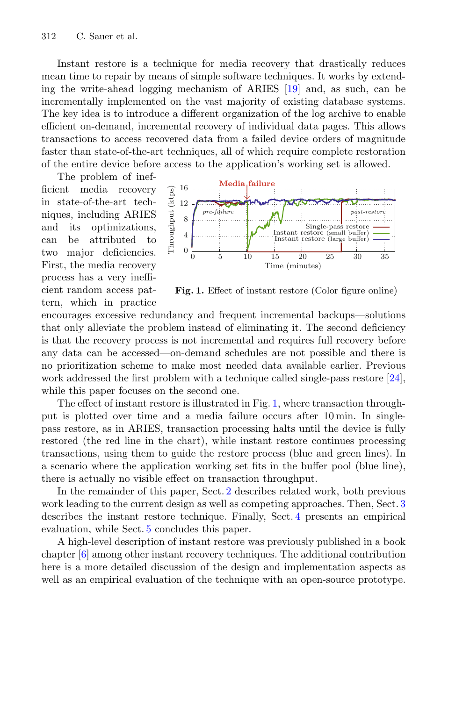Instant restore is a technique for media recovery that drastically reduces mean time to repair by means of simple software techniques. It works by extending the write-ahead logging mechanism of ARIES [\[19\]](#page-14-0) and, as such, can be incrementally implemented on the vast majority of existing database systems. The key idea is to introduce a different organization of the log archive to enable efficient on-demand, incremental recovery of individual data pages. This allows transactions to access recovered data from a failed device orders of magnitude faster than state-of-the-art techniques, all of which require complete restoration of the entire device before access to the application's working set is allowed.

The problem of inefficient media recovery in state-of-the-art techniques, including ARIES and its optimizations, can be attributed to two major deficiencies. First, the media recovery process has a very inefficient random access pattern, which in practice



<span id="page-1-0"></span>**Fig. 1.** Effect of instant restore (Color figure online)

encourages excessive redundancy and frequent incremental backups—solutions that only alleviate the problem instead of eliminating it. The second deficiency is that the recovery process is not incremental and requires full recovery before any data can be accessed—on-demand schedules are not possible and there is no prioritization scheme to make most needed data available earlier. Previous work addressed the first problem with a technique called single-pass restore [\[24\]](#page-14-1), while this paper focuses on the second one.

The effect of instant restore is illustrated in Fig. [1,](#page-1-0) where transaction throughput is plotted over time and a media failure occurs after 10 min. In singlepass restore, as in ARIES, transaction processing halts until the device is fully restored (the red line in the chart), while instant restore continues processing transactions, using them to guide the restore process (blue and green lines). In a scenario where the application working set fits in the buffer pool (blue line), there is actually no visible effect on transaction throughput.

In the remainder of this paper, Sect. [2](#page-2-0) describes related work, both previous work leading to the current design as well as competing approaches. Then, Sect. [3](#page-7-0) describes the instant restore technique. Finally, Sect. [4](#page-9-0) presents an empirical evaluation, while Sect. [5](#page-12-0) concludes this paper.

A high-level description of instant restore was previously published in a book chapter [\[6](#page-13-2)] among other instant recovery techniques. The additional contribution here is a more detailed discussion of the design and implementation aspects as well as an empirical evaluation of the technique with an open-source prototype.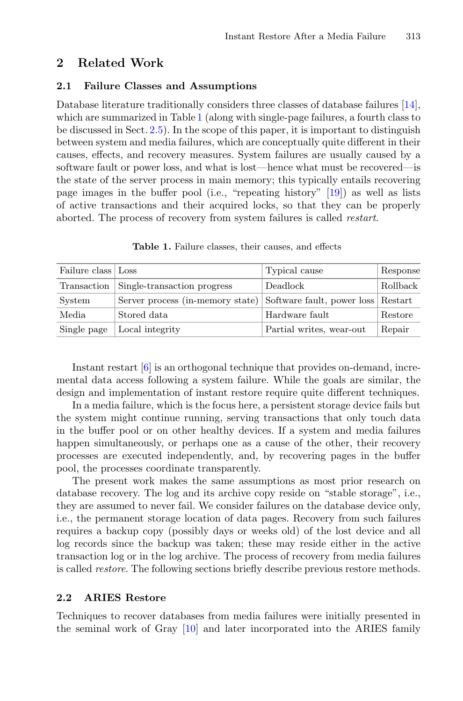# <span id="page-2-0"></span>**2 Related Work**

#### **2.1 Failure Classes and Assumptions**

Database literature traditionally considers three classes of database failures [\[14\]](#page-13-3), which are summarized in Table [1](#page-2-1) (along with single-page failures, a fourth class to be discussed in Sect. [2.5\)](#page-5-0). In the scope of this paper, it is important to distinguish between system and media failures, which are conceptually quite different in their causes, effects, and recovery measures. System failures are usually caused by a software fault or power loss, and what is lost—hence what must be recovered—is the state of the server process in main memory; this typically entails recovering page images in the buffer pool (i.e., "repeating history" [\[19\]](#page-14-0)) as well as lists of active transactions and their acquired locks, so that they can be properly aborted. The process of recovery from system failures is called *restart*.

| Failure class Loss |                                                                     | Typical cause            | Response |
|--------------------|---------------------------------------------------------------------|--------------------------|----------|
| Transaction        | Single-transaction progress                                         | Deadlock                 | Rollback |
| System             | Server process (in-memory state) Software fault, power loss Restart |                          |          |
| Media              | Stored data                                                         | Hardware fault           | Restore  |
| Single page        | Local integrity                                                     | Partial writes, wear-out | Repair   |

<span id="page-2-1"></span>**Table 1.** Failure classes, their causes, and effects

Instant restart [\[6](#page-13-2)] is an orthogonal technique that provides on-demand, incremental data access following a system failure. While the goals are similar, the design and implementation of instant restore require quite different techniques.

In a media failure, which is the focus here, a persistent storage device fails but the system might continue running, serving transactions that only touch data in the buffer pool or on other healthy devices. If a system and media failures happen simultaneously, or perhaps one as a cause of the other, their recovery processes are executed independently, and, by recovering pages in the buffer pool, the processes coordinate transparently.

The present work makes the same assumptions as most prior research on database recovery. The log and its archive copy reside on "stable storage", i.e., they are assumed to never fail. We consider failures on the database device only, i.e., the permanent storage location of data pages. Recovery from such failures requires a backup copy (possibly days or weeks old) of the lost device and all log records since the backup was taken; these may reside either in the active transaction log or in the log archive. The process of recovery from media failures is called *restore*. The following sections briefly describe previous restore methods.

### <span id="page-2-2"></span>**2.2 ARIES Restore**

Techniques to recover databases from media failures were initially presented in the seminal work of Gray [\[10\]](#page-13-4) and later incorporated into the ARIES family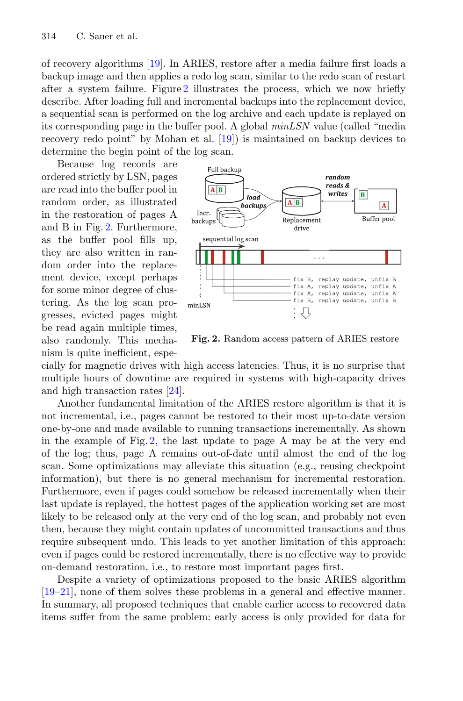of recovery algorithms [\[19\]](#page-14-0). In ARIES, restore after a media failure first loads a backup image and then applies a redo log scan, similar to the redo scan of restart after a system failure. Figure [2](#page-3-0) illustrates the process, which we now briefly describe. After loading full and incremental backups into the replacement device, a sequential scan is performed on the log archive and each update is replayed on its corresponding page in the buffer pool. A global *minLSN* value (called "media recovery redo point" by Mohan et al. [\[19](#page-14-0)]) is maintained on backup devices to determine the begin point of the log scan.

Because log records are ordered strictly by LSN, pages are read into the buffer pool in random order, as illustrated in the restoration of pages A and B in Fig. [2.](#page-3-0) Furthermore, as the buffer pool fills up, they are also written in random order into the replacement device, except perhaps for some minor degree of clustering. As the log scan progresses, evicted pages might be read again multiple times, also randomly. This mechanism is quite inefficient, espe-



<span id="page-3-0"></span>**Fig. 2.** Random access pattern of ARIES restore

cially for magnetic drives with high access latencies. Thus, it is no surprise that multiple hours of downtime are required in systems with high-capacity drives and high transaction rates [\[24](#page-14-1)].

Another fundamental limitation of the ARIES restore algorithm is that it is not incremental, i.e., pages cannot be restored to their most up-to-date version one-by-one and made available to running transactions incrementally. As shown in the example of Fig. [2,](#page-3-0) the last update to page A may be at the very end of the log; thus, page A remains out-of-date until almost the end of the log scan. Some optimizations may alleviate this situation (e.g., reusing checkpoint information), but there is no general mechanism for incremental restoration. Furthermore, even if pages could somehow be released incrementally when their last update is replayed, the hottest pages of the application working set are most likely to be released only at the very end of the log scan, and probably not even then, because they might contain updates of uncommitted transactions and thus require subsequent undo. This leads to yet another limitation of this approach: even if pages could be restored incrementally, there is no effective way to provide on-demand restoration, i.e., to restore most important pages first.

Despite a variety of optimizations proposed to the basic ARIES algorithm [\[19](#page-14-0)[–21](#page-14-2)], none of them solves these problems in a general and effective manner. In summary, all proposed techniques that enable earlier access to recovered data items suffer from the same problem: early access is only provided for data for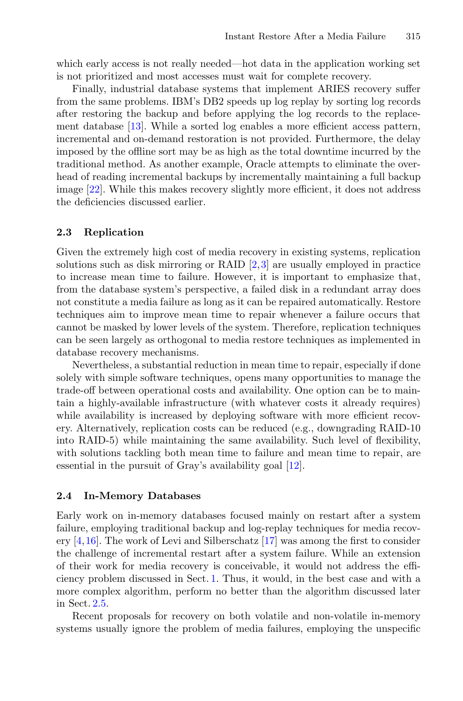which early access is not really needed—hot data in the application working set is not prioritized and most accesses must wait for complete recovery.

Finally, industrial database systems that implement ARIES recovery suffer from the same problems. IBM's DB2 speeds up log replay by sorting log records after restoring the backup and before applying the log records to the replacement database [\[13\]](#page-13-5). While a sorted log enables a more efficient access pattern, incremental and on-demand restoration is not provided. Furthermore, the delay imposed by the offline sort may be as high as the total downtime incurred by the traditional method. As another example, Oracle attempts to eliminate the overhead of reading incremental backups by incrementally maintaining a full backup image [\[22\]](#page-14-3). While this makes recovery slightly more efficient, it does not address the deficiencies discussed earlier.

### **2.3 Replication**

Given the extremely high cost of media recovery in existing systems, replication solutions such as disk mirroring or RAID [\[2](#page-13-6),[3\]](#page-13-7) are usually employed in practice to increase mean time to failure. However, it is important to emphasize that, from the database system's perspective, a failed disk in a redundant array does not constitute a media failure as long as it can be repaired automatically. Restore techniques aim to improve mean time to repair whenever a failure occurs that cannot be masked by lower levels of the system. Therefore, replication techniques can be seen largely as orthogonal to media restore techniques as implemented in database recovery mechanisms.

Nevertheless, a substantial reduction in mean time to repair, especially if done solely with simple software techniques, opens many opportunities to manage the trade-off between operational costs and availability. One option can be to maintain a highly-available infrastructure (with whatever costs it already requires) while availability is increased by deploying software with more efficient recovery. Alternatively, replication costs can be reduced (e.g., downgrading RAID-10 into RAID-5) while maintaining the same availability. Such level of flexibility, with solutions tackling both mean time to failure and mean time to repair, are essential in the pursuit of Gray's availability goal [\[12](#page-13-0)].

#### **2.4 In-Memory Databases**

Early work on in-memory databases focused mainly on restart after a system failure, employing traditional backup and log-replay techniques for media recovery [\[4,](#page-13-8)[16](#page-13-9)]. The work of Levi and Silberschatz [\[17\]](#page-13-10) was among the first to consider the challenge of incremental restart after a system failure. While an extension of their work for media recovery is conceivable, it would not address the efficiency problem discussed in Sect. [1.](#page-0-0) Thus, it would, in the best case and with a more complex algorithm, perform no better than the algorithm discussed later in Sect. [2.5.](#page-5-0)

Recent proposals for recovery on both volatile and non-volatile in-memory systems usually ignore the problem of media failures, employing the unspecific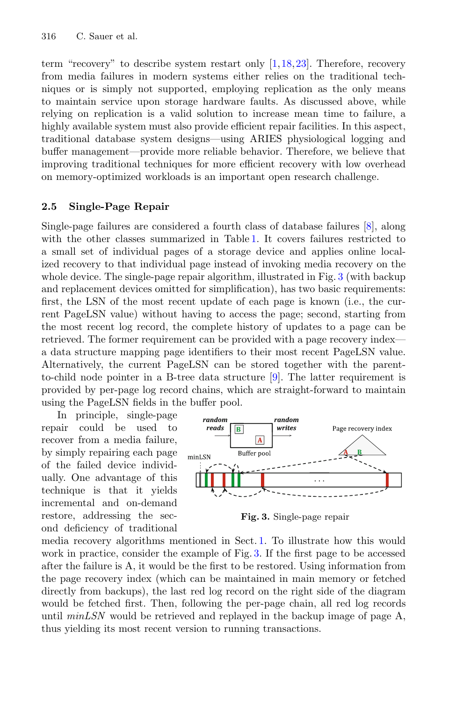term "recovery" to describe system restart only  $[1,18,23]$  $[1,18,23]$  $[1,18,23]$  $[1,18,23]$ . Therefore, recovery from media failures in modern systems either relies on the traditional techniques or is simply not supported, employing replication as the only means to maintain service upon storage hardware faults. As discussed above, while relying on replication is a valid solution to increase mean time to failure, a highly available system must also provide efficient repair facilities. In this aspect, traditional database system designs—using ARIES physiological logging and buffer management—provide more reliable behavior. Therefore, we believe that improving traditional techniques for more efficient recovery with low overhead on memory-optimized workloads is an important open research challenge.

### <span id="page-5-0"></span>**2.5 Single-Page Repair**

Single-page failures are considered a fourth class of database failures [\[8\]](#page-13-12), along with the other classes summarized in Table [1.](#page-2-1) It covers failures restricted to a small set of individual pages of a storage device and applies online localized recovery to that individual page instead of invoking media recovery on the whole device. The single-page repair algorithm, illustrated in Fig. [3](#page-5-1) (with backup and replacement devices omitted for simplification), has two basic requirements: first, the LSN of the most recent update of each page is known (i.e., the current PageLSN value) without having to access the page; second, starting from the most recent log record, the complete history of updates to a page can be retrieved. The former requirement can be provided with a page recovery index a data structure mapping page identifiers to their most recent PageLSN value. Alternatively, the current PageLSN can be stored together with the parentto-child node pointer in a B-tree data structure [\[9\]](#page-13-13). The latter requirement is provided by per-page log record chains, which are straight-forward to maintain using the PageLSN fields in the buffer pool.

In principle, single-page repair could be used to recover from a media failure, by simply repairing each page of the failed device individually. One advantage of this technique is that it yields incremental and on-demand restore, addressing the second deficiency of traditional



<span id="page-5-1"></span>**Fig. 3.** Single-page repair

media recovery algorithms mentioned in Sect. [1.](#page-0-0) To illustrate how this would work in practice, consider the example of Fig. [3.](#page-5-1) If the first page to be accessed after the failure is A, it would be the first to be restored. Using information from the page recovery index (which can be maintained in main memory or fetched directly from backups), the last red log record on the right side of the diagram would be fetched first. Then, following the per-page chain, all red log records until *minLSN* would be retrieved and replayed in the backup image of page A, thus yielding its most recent version to running transactions.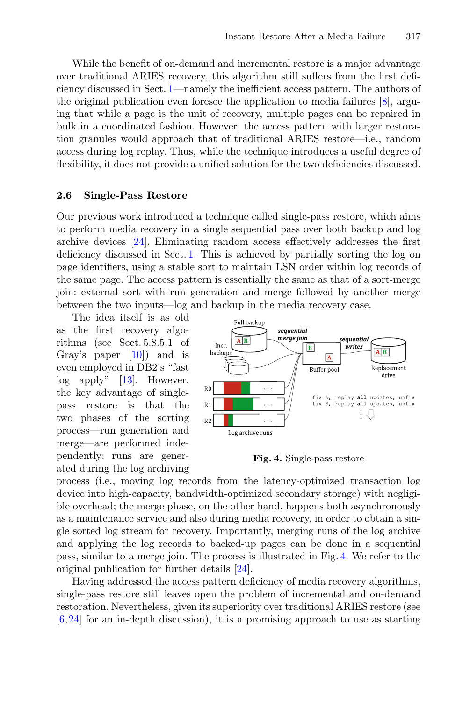While the benefit of on-demand and incremental restore is a major advantage over traditional ARIES recovery, this algorithm still suffers from the first deficiency discussed in Sect. [1—](#page-0-0)namely the inefficient access pattern. The authors of the original publication even foresee the application to media failures [\[8\]](#page-13-12), arguing that while a page is the unit of recovery, multiple pages can be repaired in bulk in a coordinated fashion. However, the access pattern with larger restoration granules would approach that of traditional ARIES restore—i.e., random access during log replay. Thus, while the technique introduces a useful degree of flexibility, it does not provide a unified solution for the two deficiencies discussed.

### **2.6 Single-Pass Restore**

Our previous work introduced a technique called single-pass restore, which aims to perform media recovery in a single sequential pass over both backup and log archive devices [\[24\]](#page-14-1). Eliminating random access effectively addresses the first deficiency discussed in Sect. [1.](#page-0-0) This is achieved by partially sorting the log on page identifiers, using a stable sort to maintain LSN order within log records of the same page. The access pattern is essentially the same as that of a sort-merge join: external sort with run generation and merge followed by another merge between the two inputs—log and backup in the media recovery case.

The idea itself is as old as the first recovery algorithms (see Sect. 5.8.5.1 of Gray's paper [\[10\]](#page-13-4)) and is even employed in DB2's "fast log apply" [\[13\]](#page-13-5). However, the key advantage of singlepass restore is that the two phases of the sorting process—run generation and merge—are performed independently: runs are generated during the log archiving



<span id="page-6-0"></span>**Fig. 4.** Single-pass restore

process (i.e., moving log records from the latency-optimized transaction log device into high-capacity, bandwidth-optimized secondary storage) with negligible overhead; the merge phase, on the other hand, happens both asynchronously as a maintenance service and also during media recovery, in order to obtain a single sorted log stream for recovery. Importantly, merging runs of the log archive and applying the log records to backed-up pages can be done in a sequential pass, similar to a merge join. The process is illustrated in Fig. [4.](#page-6-0) We refer to the original publication for further details [\[24\]](#page-14-1).

Having addressed the access pattern deficiency of media recovery algorithms, single-pass restore still leaves open the problem of incremental and on-demand restoration. Nevertheless, given its superiority over traditional ARIES restore (see [\[6](#page-13-2)[,24](#page-14-1)] for an in-depth discussion), it is a promising approach to use as starting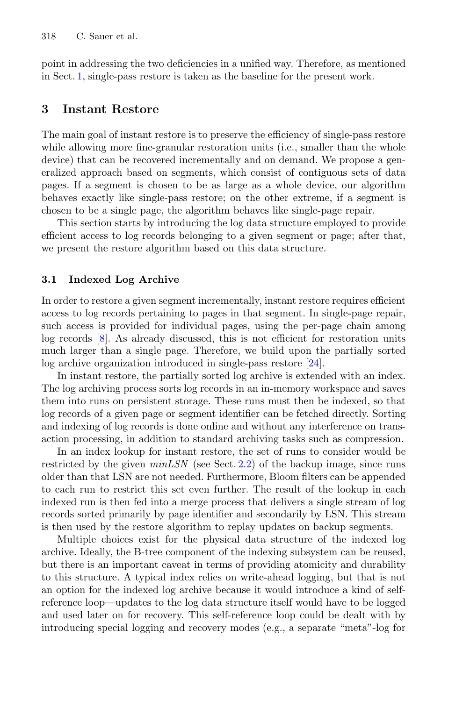point in addressing the two deficiencies in a unified way. Therefore, as mentioned in Sect. [1,](#page-0-0) single-pass restore is taken as the baseline for the present work.

## <span id="page-7-0"></span>**3 Instant Restore**

The main goal of instant restore is to preserve the efficiency of single-pass restore while allowing more fine-granular restoration units (i.e., smaller than the whole device) that can be recovered incrementally and on demand. We propose a generalized approach based on segments, which consist of contiguous sets of data pages. If a segment is chosen to be as large as a whole device, our algorithm behaves exactly like single-pass restore; on the other extreme, if a segment is chosen to be a single page, the algorithm behaves like single-page repair.

This section starts by introducing the log data structure employed to provide efficient access to log records belonging to a given segment or page; after that, we present the restore algorithm based on this data structure.

### **3.1 Indexed Log Archive**

In order to restore a given segment incrementally, instant restore requires efficient access to log records pertaining to pages in that segment. In single-page repair, such access is provided for individual pages, using the per-page chain among log records [\[8\]](#page-13-12). As already discussed, this is not efficient for restoration units much larger than a single page. Therefore, we build upon the partially sorted log archive organization introduced in single-pass restore [\[24\]](#page-14-1).

In instant restore, the partially sorted log archive is extended with an index. The log archiving process sorts log records in an in-memory workspace and saves them into runs on persistent storage. These runs must then be indexed, so that log records of a given page or segment identifier can be fetched directly. Sorting and indexing of log records is done online and without any interference on transaction processing, in addition to standard archiving tasks such as compression.

In an index lookup for instant restore, the set of runs to consider would be restricted by the given  $minLSN$  (see Sect. [2.2\)](#page-2-2) of the backup image, since runs older than that LSN are not needed. Furthermore, Bloom filters can be appended to each run to restrict this set even further. The result of the lookup in each indexed run is then fed into a merge process that delivers a single stream of log records sorted primarily by page identifier and secondarily by LSN. This stream is then used by the restore algorithm to replay updates on backup segments.

Multiple choices exist for the physical data structure of the indexed log archive. Ideally, the B-tree component of the indexing subsystem can be reused, but there is an important caveat in terms of providing atomicity and durability to this structure. A typical index relies on write-ahead logging, but that is not an option for the indexed log archive because it would introduce a kind of selfreference loop—updates to the log data structure itself would have to be logged and used later on for recovery. This self-reference loop could be dealt with by introducing special logging and recovery modes (e.g., a separate "meta"-log for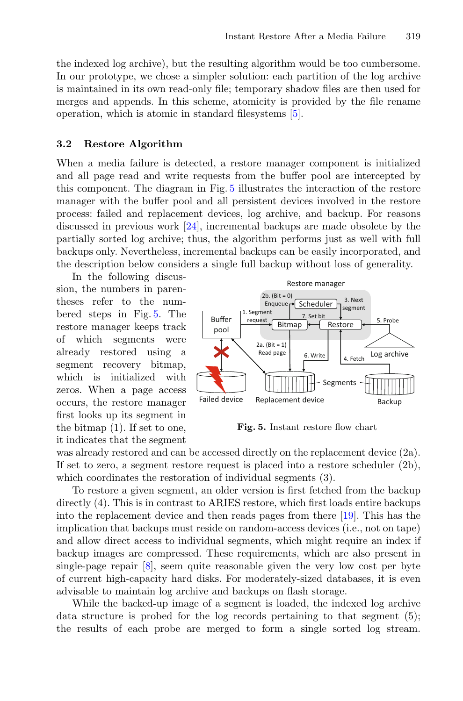the indexed log archive), but the resulting algorithm would be too cumbersome. In our prototype, we chose a simpler solution: each partition of the log archive is maintained in its own read-only file; temporary shadow files are then used for merges and appends. In this scheme, atomicity is provided by the file rename operation, which is atomic in standard filesystems [\[5\]](#page-13-14).

### **3.2 Restore Algorithm**

When a media failure is detected, a restore manager component is initialized and all page read and write requests from the buffer pool are intercepted by this component. The diagram in Fig. [5](#page-8-0) illustrates the interaction of the restore manager with the buffer pool and all persistent devices involved in the restore process: failed and replacement devices, log archive, and backup. For reasons discussed in previous work [\[24\]](#page-14-1), incremental backups are made obsolete by the partially sorted log archive; thus, the algorithm performs just as well with full backups only. Nevertheless, incremental backups can be easily incorporated, and the description below considers a single full backup without loss of generality.

In the following discussion, the numbers in parentheses refer to the numbered steps in Fig. [5.](#page-8-0) The restore manager keeps track of which segments were already restored using a segment recovery bitmap, which is initialized with zeros. When a page access occurs, the restore manager first looks up its segment in the bitmap (1). If set to one, it indicates that the segment



<span id="page-8-0"></span>**Fig. 5.** Instant restore flow chart

was already restored and can be accessed directly on the replacement device (2a). If set to zero, a segment restore request is placed into a restore scheduler (2b), which coordinates the restoration of individual segments (3).

To restore a given segment, an older version is first fetched from the backup directly (4). This is in contrast to ARIES restore, which first loads entire backups into the replacement device and then reads pages from there [\[19\]](#page-14-0). This has the implication that backups must reside on random-access devices (i.e., not on tape) and allow direct access to individual segments, which might require an index if backup images are compressed. These requirements, which are also present in single-page repair [\[8\]](#page-13-12), seem quite reasonable given the very low cost per byte of current high-capacity hard disks. For moderately-sized databases, it is even advisable to maintain log archive and backups on flash storage.

While the backed-up image of a segment is loaded, the indexed log archive data structure is probed for the log records pertaining to that segment (5); the results of each probe are merged to form a single sorted log stream.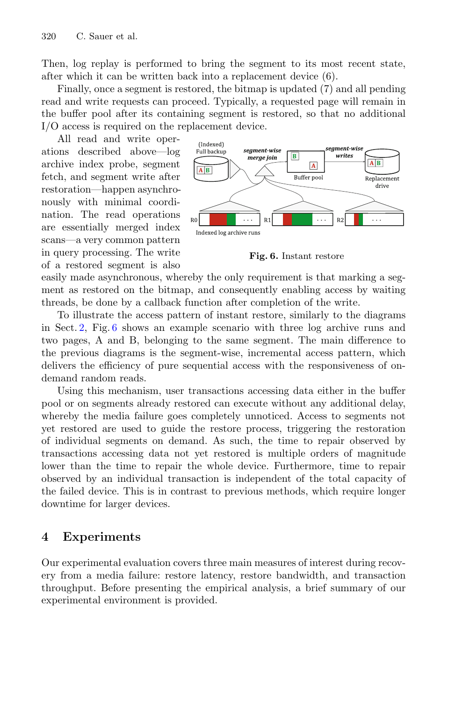Then, log replay is performed to bring the segment to its most recent state, after which it can be written back into a replacement device (6).

Finally, once a segment is restored, the bitmap is updated (7) and all pending read and write requests can proceed. Typically, a requested page will remain in the buffer pool after its containing segment is restored, so that no additional I/O access is required on the replacement device.

All read and write operations described above—log archive index probe, segment fetch, and segment write after restoration—happen asynchronously with minimal coordination. The read operations are essentially merged index scans—a very common pattern in query processing. The write of a restored segment is also



<span id="page-9-1"></span>**Fig. 6.** Instant restore

easily made asynchronous, whereby the only requirement is that marking a segment as restored on the bitmap, and consequently enabling access by waiting threads, be done by a callback function after completion of the write.

To illustrate the access pattern of instant restore, similarly to the diagrams in Sect. [2,](#page-2-0) Fig. [6](#page-9-1) shows an example scenario with three log archive runs and two pages, A and B, belonging to the same segment. The main difference to the previous diagrams is the segment-wise, incremental access pattern, which delivers the efficiency of pure sequential access with the responsiveness of ondemand random reads.

Using this mechanism, user transactions accessing data either in the buffer pool or on segments already restored can execute without any additional delay, whereby the media failure goes completely unnoticed. Access to segments not yet restored are used to guide the restore process, triggering the restoration of individual segments on demand. As such, the time to repair observed by transactions accessing data not yet restored is multiple orders of magnitude lower than the time to repair the whole device. Furthermore, time to repair observed by an individual transaction is independent of the total capacity of the failed device. This is in contrast to previous methods, which require longer downtime for larger devices.

# <span id="page-9-0"></span>**4 Experiments**

Our experimental evaluation covers three main measures of interest during recovery from a media failure: restore latency, restore bandwidth, and transaction throughput. Before presenting the empirical analysis, a brief summary of our experimental environment is provided.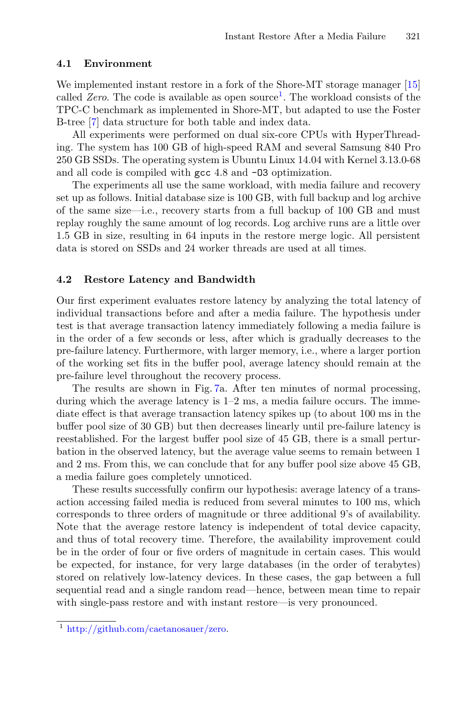#### **4.1 Environment**

We implemented instant restore in a fork of the Shore-MT storage manager [\[15\]](#page-13-15) called *Zero*. The code is available as open source<sup>[1](#page-10-0)</sup>. The workload consists of the TPC-C benchmark as implemented in Shore-MT, but adapted to use the Foster B-tree [\[7\]](#page-13-16) data structure for both table and index data.

All experiments were performed on dual six-core CPUs with HyperThreading. The system has 100 GB of high-speed RAM and several Samsung 840 Pro 250 GB SSDs. The operating system is Ubuntu Linux 14.04 with Kernel 3.13.0-68 and all code is compiled with gcc 4.8 and -O3 optimization.

The experiments all use the same workload, with media failure and recovery set up as follows. Initial database size is 100 GB, with full backup and log archive of the same size—i.e., recovery starts from a full backup of 100 GB and must replay roughly the same amount of log records. Log archive runs are a little over 1.5 GB in size, resulting in 64 inputs in the restore merge logic. All persistent data is stored on SSDs and 24 worker threads are used at all times.

#### **4.2 Restore Latency and Bandwidth**

Our first experiment evaluates restore latency by analyzing the total latency of individual transactions before and after a media failure. The hypothesis under test is that average transaction latency immediately following a media failure is in the order of a few seconds or less, after which is gradually decreases to the pre-failure latency. Furthermore, with larger memory, i.e., where a larger portion of the working set fits in the buffer pool, average latency should remain at the pre-failure level throughout the recovery process.

The results are shown in Fig. [7a](#page-11-0). After ten minutes of normal processing, during which the average latency is  $1-2$  ms, a media failure occurs. The immediate effect is that average transaction latency spikes up (to about 100 ms in the buffer pool size of 30 GB) but then decreases linearly until pre-failure latency is reestablished. For the largest buffer pool size of 45 GB, there is a small perturbation in the observed latency, but the average value seems to remain between 1 and 2 ms. From this, we can conclude that for any buffer pool size above 45 GB, a media failure goes completely unnoticed.

These results successfully confirm our hypothesis: average latency of a transaction accessing failed media is reduced from several minutes to 100 ms, which corresponds to three orders of magnitude or three additional 9's of availability. Note that the average restore latency is independent of total device capacity, and thus of total recovery time. Therefore, the availability improvement could be in the order of four or five orders of magnitude in certain cases. This would be expected, for instance, for very large databases (in the order of terabytes) stored on relatively low-latency devices. In these cases, the gap between a full sequential read and a single random read—hence, between mean time to repair with single-pass restore and with instant restore—is very pronounced.

<span id="page-10-0"></span><sup>1</sup> [http://github.com/caetanosauer/zero.](http://github.com/caetanosauer/zero)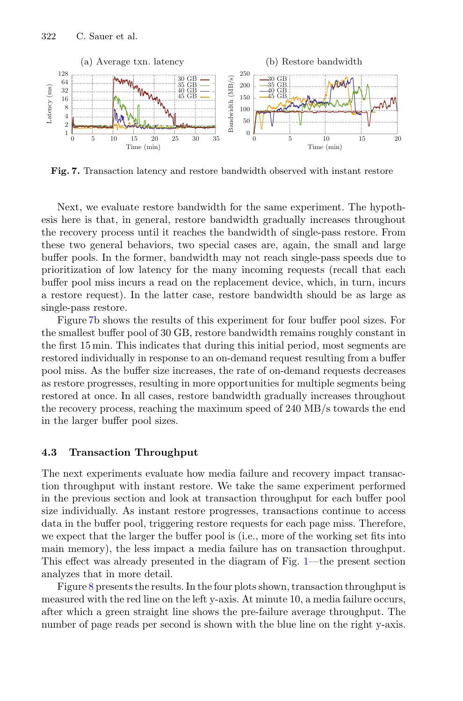

<span id="page-11-0"></span>**Fig. 7.** Transaction latency and restore bandwidth observed with instant restore

Next, we evaluate restore bandwidth for the same experiment. The hypothesis here is that, in general, restore bandwidth gradually increases throughout the recovery process until it reaches the bandwidth of single-pass restore. From these two general behaviors, two special cases are, again, the small and large buffer pools. In the former, bandwidth may not reach single-pass speeds due to prioritization of low latency for the many incoming requests (recall that each buffer pool miss incurs a read on the replacement device, which, in turn, incurs a restore request). In the latter case, restore bandwidth should be as large as single-pass restore.

Figure [7b](#page-11-0) shows the results of this experiment for four buffer pool sizes. For the smallest buffer pool of 30 GB, restore bandwidth remains roughly constant in the first 15 min. This indicates that during this initial period, most segments are restored individually in response to an on-demand request resulting from a buffer pool miss. As the buffer size increases, the rate of on-demand requests decreases as restore progresses, resulting in more opportunities for multiple segments being restored at once. In all cases, restore bandwidth gradually increases throughout the recovery process, reaching the maximum speed of 240 MB/s towards the end in the larger buffer pool sizes.

### **4.3 Transaction Throughput**

The next experiments evaluate how media failure and recovery impact transaction throughput with instant restore. We take the same experiment performed in the previous section and look at transaction throughput for each buffer pool size individually. As instant restore progresses, transactions continue to access data in the buffer pool, triggering restore requests for each page miss. Therefore, we expect that the larger the buffer pool is (i.e., more of the working set fits into main memory), the less impact a media failure has on transaction throughput. This effect was already presented in the diagram of Fig. [1—](#page-1-0)the present section analyzes that in more detail.

Figure [8](#page-12-1) presents the results. In the four plots shown, transaction throughput is measured with the red line on the left y-axis. At minute 10, a media failure occurs, after which a green straight line shows the pre-failure average throughput. The number of page reads per second is shown with the blue line on the right y-axis.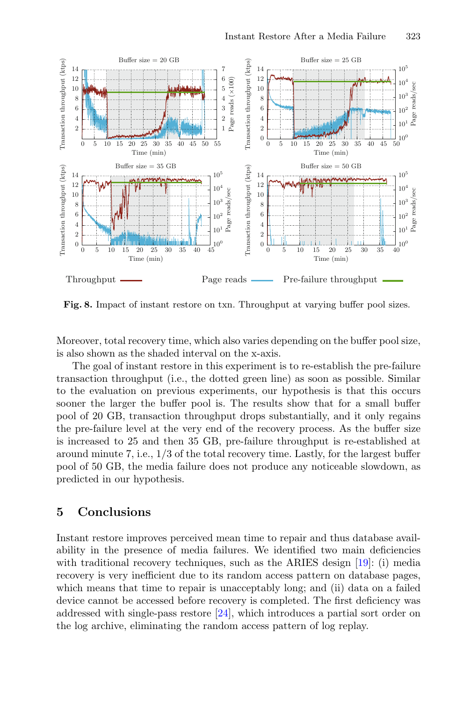

<span id="page-12-1"></span>**Fig. 8.** Impact of instant restore on txn. Throughput at varying buffer pool sizes.

Moreover, total recovery time, which also varies depending on the buffer pool size, is also shown as the shaded interval on the x-axis.

The goal of instant restore in this experiment is to re-establish the pre-failure transaction throughput (i.e., the dotted green line) as soon as possible. Similar to the evaluation on previous experiments, our hypothesis is that this occurs sooner the larger the buffer pool is. The results show that for a small buffer pool of 20 GB, transaction throughput drops substantially, and it only regains the pre-failure level at the very end of the recovery process. As the buffer size is increased to 25 and then 35 GB, pre-failure throughput is re-established at around minute 7, i.e., 1/3 of the total recovery time. Lastly, for the largest buffer pool of 50 GB, the media failure does not produce any noticeable slowdown, as predicted in our hypothesis.

## <span id="page-12-0"></span>**5 Conclusions**

Instant restore improves perceived mean time to repair and thus database availability in the presence of media failures. We identified two main deficiencies with traditional recovery techniques, such as the ARIES design [\[19\]](#page-14-0): (i) media recovery is very inefficient due to its random access pattern on database pages, which means that time to repair is unacceptably long; and (ii) data on a failed device cannot be accessed before recovery is completed. The first deficiency was addressed with single-pass restore [\[24\]](#page-14-1), which introduces a partial sort order on the log archive, eliminating the random access pattern of log replay.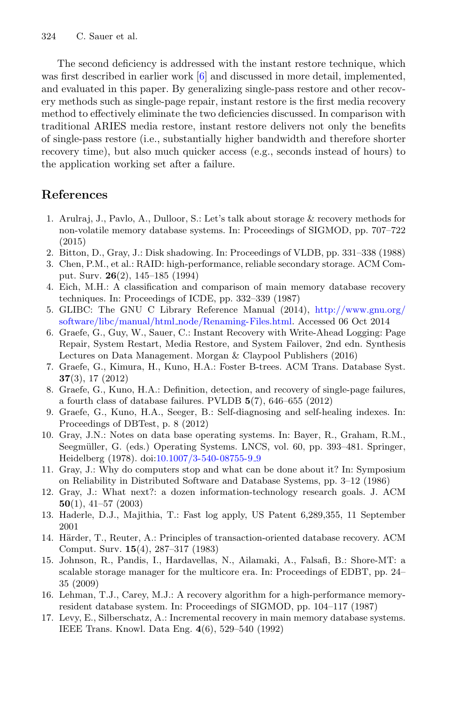The second deficiency is addressed with the instant restore technique, which was first described in earlier work [\[6](#page-13-2)] and discussed in more detail, implemented, and evaluated in this paper. By generalizing single-pass restore and other recovery methods such as single-page repair, instant restore is the first media recovery method to effectively eliminate the two deficiencies discussed. In comparison with traditional ARIES media restore, instant restore delivers not only the benefits of single-pass restore (i.e., substantially higher bandwidth and therefore shorter recovery time), but also much quicker access (e.g., seconds instead of hours) to the application working set after a failure.

# <span id="page-13-11"></span>**References**

- 1. Arulraj, J., Pavlo, A., Dulloor, S.: Let's talk about storage & recovery methods for non-volatile memory database systems. In: Proceedings of SIGMOD, pp. 707–722 (2015)
- <span id="page-13-6"></span>2. Bitton, D., Gray, J.: Disk shadowing. In: Proceedings of VLDB, pp. 331–338 (1988)
- <span id="page-13-7"></span>3. Chen, P.M., et al.: RAID: high-performance, reliable secondary storage. ACM Comput. Surv. **26**(2), 145–185 (1994)
- <span id="page-13-8"></span>4. Eich, M.H.: A classification and comparison of main memory database recovery techniques. In: Proceedings of ICDE, pp. 332–339 (1987)
- <span id="page-13-14"></span>5. GLIBC: The GNU C Library Reference Manual (2014), [http://www.gnu.org/](http://www.gnu.org/software/libc/manual/html_node/Renaming-Files.html) [software/libc/manual/html](http://www.gnu.org/software/libc/manual/html_node/Renaming-Files.html) node/Renaming-Files.html. Accessed 06 Oct 2014
- <span id="page-13-2"></span>6. Graefe, G., Guy, W., Sauer, C.: Instant Recovery with Write-Ahead Logging: Page Repair, System Restart, Media Restore, and System Failover, 2nd edn. Synthesis Lectures on Data Management. Morgan & Claypool Publishers (2016)
- <span id="page-13-16"></span>7. Graefe, G., Kimura, H., Kuno, H.A.: Foster B-trees. ACM Trans. Database Syst. **37**(3), 17 (2012)
- <span id="page-13-12"></span>8. Graefe, G., Kuno, H.A.: Definition, detection, and recovery of single-page failures, a fourth class of database failures. PVLDB **5**(7), 646–655 (2012)
- <span id="page-13-13"></span>9. Graefe, G., Kuno, H.A., Seeger, B.: Self-diagnosing and self-healing indexes. In: Proceedings of DBTest, p. 8 (2012)
- <span id="page-13-4"></span>10. Gray, J.N.: Notes on data base operating systems. In: Bayer, R., Graham, R.M., Seegmüller, G. (eds.) Operating Systems. LNCS, vol. 60, pp. 393–481. Springer, Heidelberg (1978). doi[:10.1007/3-540-08755-9](http://dx.doi.org/10.1007/3-540-08755-9_9)<sub>-9</sub>
- <span id="page-13-1"></span>11. Gray, J.: Why do computers stop and what can be done about it? In: Symposium on Reliability in Distributed Software and Database Systems, pp. 3–12 (1986)
- <span id="page-13-0"></span>12. Gray, J.: What next?: a dozen information-technology research goals. J. ACM **50**(1), 41–57 (2003)
- <span id="page-13-5"></span>13. Haderle, D.J., Majithia, T.: Fast log apply, US Patent 6,289,355, 11 September 2001
- <span id="page-13-3"></span>14. Härder, T., Reuter, A.: Principles of transaction-oriented database recovery. ACM Comput. Surv. **15**(4), 287–317 (1983)
- <span id="page-13-15"></span>15. Johnson, R., Pandis, I., Hardavellas, N., Ailamaki, A., Falsafi, B.: Shore-MT: a scalable storage manager for the multicore era. In: Proceedings of EDBT, pp. 24– 35 (2009)
- <span id="page-13-9"></span>16. Lehman, T.J., Carey, M.J.: A recovery algorithm for a high-performance memoryresident database system. In: Proceedings of SIGMOD, pp. 104–117 (1987)
- <span id="page-13-10"></span>17. Levy, E., Silberschatz, A.: Incremental recovery in main memory database systems. IEEE Trans. Knowl. Data Eng. **4**(6), 529–540 (1992)